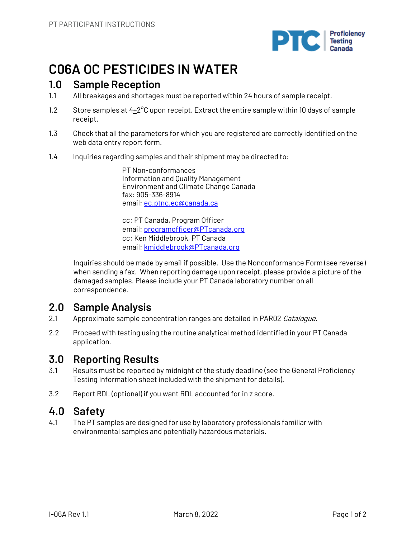

# **C06A OC PESTICIDES IN WATER**

## **1.0 Sample Reception**

- 1.1 All breakages and shortages must be reported within 24 hours of sample receipt.
- 1.2 Store samples at  $4+2^{\circ}$ C upon receipt. Extract the entire sample within 10 days of sample receipt.
- 1.3 Check that all the parameters for which you are registered are correctly identified on the web data entry report form.
- 1.4 Inquiries regarding samples and their shipment may be directed to:

PT Non-conformances Information and Quality Management Environment and Climate Change Canada fax: 905-336-8914 email: ec.ptnc.ec@canada.ca

cc: PT Canada, Program Officer email: programofficer@PTcanada.org cc: Ken Middlebrook, PT Canada email: kmiddlebrook@PTcanada.org

Inquiries should be made by email if possible. Use the Nonconformance Form (see reverse) when sending a fax. When reporting damage upon receipt, please provide a picture of the damaged samples. Please include your PT Canada laboratory number on all correspondence.

## **2.0 Sample Analysis**

- 2.1 Approximate sample concentration ranges are detailed in PAR02 Catalogue.
- 2.2 Proceed with testing using the routine analytical method identified in your PT Canada application.

## **3.0 Reporting Results**

- 3.1 Results must be reported by midnight of the study deadline (see the General Proficiency Testing Information sheet included with the shipment for details).
- 3.2 Report RDL (optional) if you want RDL accounted for in z score.

## **4.0 Safety**

4.1 The PT samples are designed for use by laboratory professionals familiar with environmental samples and potentially hazardous materials.